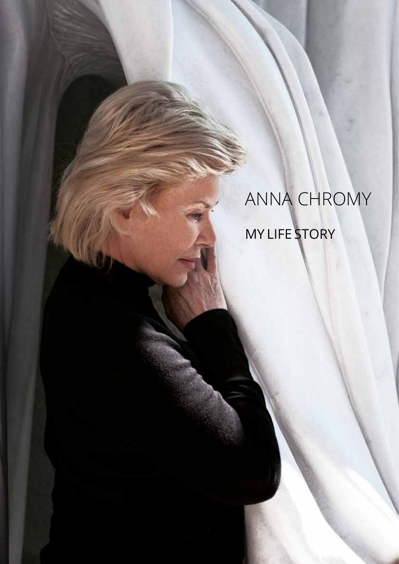# ANNA CHROMY

MY LIFE STORY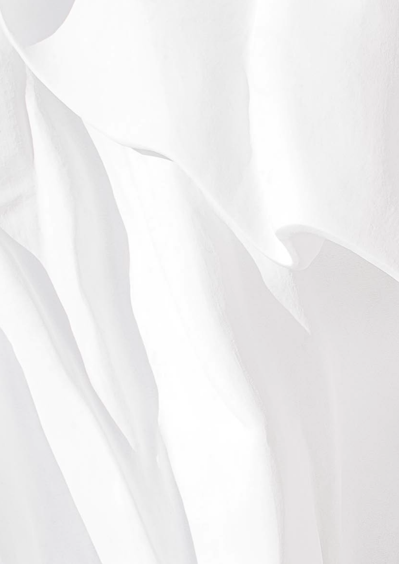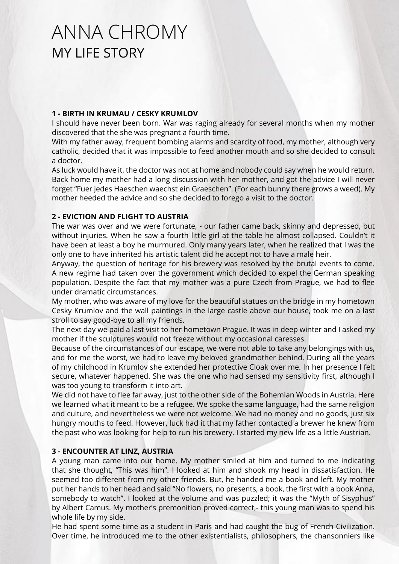# ANNA CHROMY MY LIFE STORY

## **1 - BIRTH IN KRUMAU / CESKY KRUMLOV**

I should have never been born. War was raging already for several months when my mother discovered that the she was pregnant a fourth time.

With my father away, frequent bombing alarms and scarcity of food, my mother, although very catholic, decided that it was impossible to feed another mouth and so she decided to consult a doctor.

As luck would have it, the doctor was not at home and nobody could say when he would return. Back home my mother had a long discussion with her mother, and got the advice I will never forget "Fuer jedes Haeschen waechst ein Graeschen". (For each bunny there grows a weed). My mother heeded the advice and so she decided to forego a visit to the doctor.

# **2 - EVICTION AND FLIGHT TO AUSTRIA**

The war was over and we were fortunate, - our father came back, skinny and depressed, but without injuries. When he saw a fourth little girl at the table he almost collapsed. Couldn't it have been at least a boy he murmured. Only many years later, when he realized that I was the only one to have inherited his artistic talent did he accept not to have a male heir.

Anyway, the question of heritage for his brewery was resolved by the brutal events to come. A new regime had taken over the government which decided to expel the German speaking population. Despite the fact that my mother was a pure Czech from Prague, we had to flee under dramatic circumstances.

My mother, who was aware of my love for the beautiful statues on the bridge in my hometown Cesky Krumlov and the wall paintings in the large castle above our house, took me on a last stroll to say good-bye to all my friends.

The next day we paid a last visit to her hometown Prague. It was in deep winter and I asked my mother if the sculptures would not freeze without my occasional caresses.

Because of the circumstances of our escape, we were not able to take any belongings with us, and for me the worst, we had to leave my beloved grandmother behind. During all the years of my childhood in Krumlov she extended her protective Cloak over me. In her presence I felt secure, whatever happened. She was the one who had sensed my sensitivity first, although I was too young to transform it into art.

We did not have to flee far away, just to the other side of the Bohemian Woods in Austria. Here we learned what it meant to be a refugee. We spoke the same language, had the same religion and culture, and nevertheless we were not welcome. We had no money and no goods, just six hungry mouths to feed. However, luck had it that my father contacted a brewer he knew from the past who was looking for help to run his brewery. I started my new life as a little Austrian.

# **3 - ENCOUNTER AT LINZ, AUSTRIA**

A young man came into our home. My mother smiled at him and turned to me indicating that she thought, "This was him". I looked at him and shook my head in dissatisfaction. He seemed too different from my other friends. But, he handed me a book and left. My mother put her hands to her head and said "No flowers, no presents, a book, the first with a book Anna, somebody to watch". I looked at the volume and was puzzled; it was the "Myth of Sisyphus" by Albert Camus. My mother's premonition proved correct,- this young man was to spend his whole life by my side.

He had spent some time as a student in Paris and had caught the bug of French Civilization. Over time, he introduced me to the other existentialists, philosophers, the chansonniers like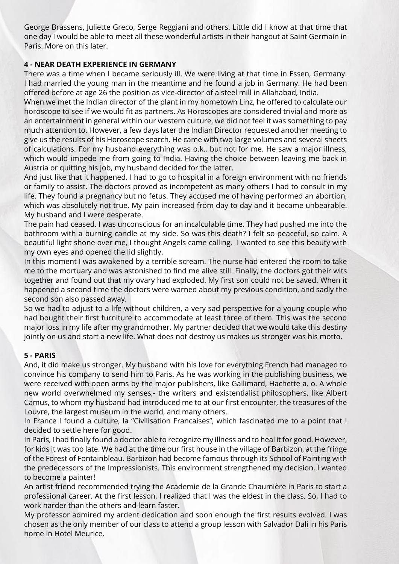George Brassens, Juliette Greco, Serge Reggiani and others. Little did I know at that time that one day I would be able to meet all these wonderful artists in their hangout at Saint Germain in Paris. More on this later.

# **4 - NEAR DEATH EXPERIENCE IN GERMANY**

There was a time when I became seriously ill. We were living at that time in Essen, Germany. I had married the young man in the meantime and he found a job in Germany. He had been offered before at age 26 the position as vice-director of a steel mill in Allahabad, India.

When we met the Indian director of the plant in my hometown Linz, he offered to calculate our horoscope to see if we would fit as partners. As Horoscopes are considered trivial and more as an entertainment in general within our western culture, we did not feel it was something to pay much attention to. However, a few days later the Indian Director requested another meeting to give us the results of his Horoscope search. He came with two large volumes and several sheets of calculations. For my husband everything was o.k., but not for me. He saw a major illness, which would impede me from going to India. Having the choice between leaving me back in Austria or quitting his job, my husband decided for the latter.

And just like that it happened. I had to go to hospital in a foreign environment with no friends or family to assist. The doctors proved as incompetent as many others I had to consult in my life. They found a pregnancy but no fetus. They accused me of having performed an abortion, which was absolutely not true. My pain increased from day to day and it became unbearable. My husband and I were desperate.

The pain had ceased. I was unconscious for an incalculable time. They had pushed me into the bathroom with a burning candle at my side. So was this death? I felt so peaceful, so calm. A beautiful light shone over me, I thought Angels came calling. I wanted to see this beauty with my own eyes and opened the lid slightly.

In this moment I was awakened by a terrible scream. The nurse had entered the room to take me to the mortuary and was astonished to find me alive still. Finally, the doctors got their wits together and found out that my ovary had exploded. My first son could not be saved. When it happened a second time the doctors were warned about my previous condition, and sadly the second son also passed away.

So we had to adjust to a life without children, a very sad perspective for a young couple who had bought their first furniture to accommodate at least three of them. This was the second major loss in my life after my grandmother. My partner decided that we would take this destiny jointly on us and start a new life. What does not destroy us makes us stronger was his motto.

# **5 - PARIS**

And, it did make us stronger. My husband with his love for everything French had managed to convince his company to send him to Paris. As he was working in the publishing business, we were received with open arms by the major publishers, like Gallimard, Hachette a. o. A whole new world overwhelmed my senses,- the writers and existentialist philosophers, like Albert Camus, to whom my husband had introduced me to at our first encounter, the treasures of the Louvre, the largest museum in the world, and many others.

In France I found a culture, la "Civilisation Francaises", which fascinated me to a point that I decided to settle here for good.

In Paris, I had finally found a doctor able to recognize my illness and to heal it for good. However, for kids it was too late. We had at the time our first house in the village of Barbizon, at the fringe of the Forest of Fontainbleau. Barbizon had become famous through its School of Painting with the predecessors of the Impressionists. This environment strengthened my decision, I wanted to become a painter!

An artist friend recommended trying the Academie de la Grande Chaumière in Paris to start a professional career. At the first lesson, I realized that I was the eldest in the class. So, I had to work harder than the others and learn faster.

My professor admired my ardent dedication and soon enough the first results evolved. I was chosen as the only member of our class to attend a group lesson with Salvador Dali in his Paris home in Hotel Meurice.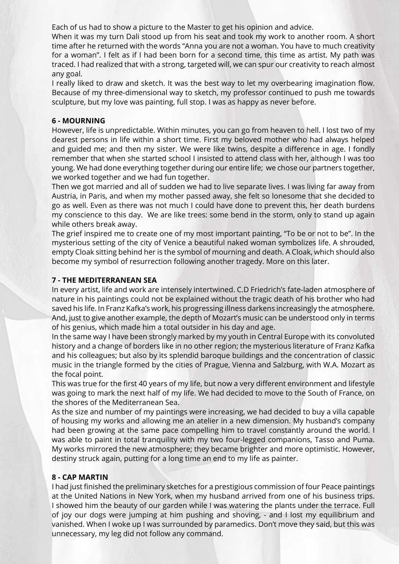Each of us had to show a picture to the Master to get his opinion and advice.

When it was my turn Dali stood up from his seat and took my work to another room. A short time after he returned with the words "Anna you are not a woman. You have to much creativity for a woman". I felt as if I had been born for a second time, this time as artist. My path was traced. I had realized that with a strong, targeted will, we can spur our creativity to reach almost any goal.

I really liked to draw and sketch. It was the best way to let my overbearing imagination flow. Because of my three-dimensional way to sketch, my professor continued to push me towards sculpture, but my love was painting, full stop. I was as happy as never before.

#### **6 - MOURNING**

However, life is unpredictable. Within minutes, you can go from heaven to hell. I lost two of my dearest persons in life within a short time. First my beloved mother who had always helped and guided me; and then my sister. We were like twins, despite a difference in age. I fondly remember that when she started school I insisted to attend class with her, although I was too young. We had done everything together during our entire life; we chose our partners together, we worked together and we had fun together.

Then we got married and all of sudden we had to live separate lives. I was living far away from Austria, in Paris, and when my mother passed away, she felt so lonesome that she decided to go as well. Even as there was not much I could have done to prevent this, her death burdens my conscience to this day. We are like trees: some bend in the storm, only to stand up again while others break away.

The grief inspired me to create one of my most important painting, "To be or not to be". In the mysterious setting of the city of Venice a beautiful naked woman symbolizes life. A shrouded, empty Cloak sitting behind her is the symbol of mourning and death. A Cloak, which should also become my symbol of resurrection following another tragedy. More on this later.

#### **7 - THE MEDITERRANEAN SEA**

In every artist, life and work are intensely intertwined. C.D Friedrich's fate-laden atmosphere of nature in his paintings could not be explained without the tragic death of his brother who had saved his life. In Franz Kafka's work, his progressing illness darkens increasingly the atmosphere. And, just to give another example, the depth of Mozart's music can be understood only in terms of his genius, which made him a total outsider in his day and age.

In the same way I have been strongly marked by my youth in Central Europe with its convoluted history and a change of borders like in no other region; the mysterious literature of Franz Kafka and his colleagues; but also by its splendid baroque buildings and the concentration of classic music in the triangle formed by the cities of Prague, Vienna and Salzburg, with W.A. Mozart as the focal point.

This was true for the first 40 years of my life, but now a very different environment and lifestyle was going to mark the next half of my life. We had decided to move to the South of France, on the shores of the Mediterranean Sea.

As the size and number of my paintings were increasing, we had decided to buy a villa capable of housing my works and allowing me an atelier in a new dimension. My husband's company had been growing at the same pace compelling him to travel constantly around the world. I was able to paint in total tranquility with my two four-legged companions, Tasso and Puma. My works mirrored the new atmosphere; they became brighter and more optimistic. However, destiny struck again, putting for a long time an end to my life as painter.

#### **8 - CAP MARTIN**

I had just finished the preliminary sketches for a prestigious commission of four Peace paintings at the United Nations in New York, when my husband arrived from one of his business trips. I showed him the beauty of our garden while I was watering the plants under the terrace. Full of joy our dogs were jumping at him pushing and shoving, - and I lost my equilibrium and vanished. When I woke up I was surrounded by paramedics. Don't move they said, but this was unnecessary, my leg did not follow any command.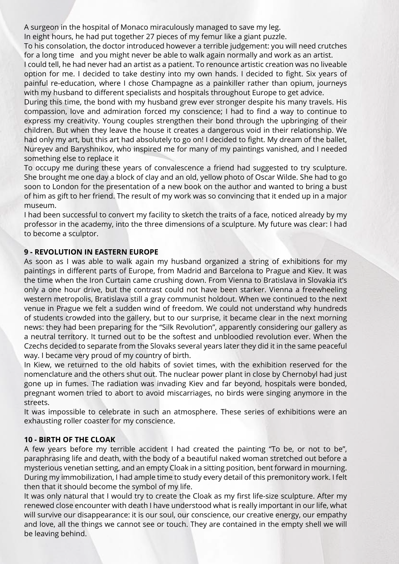A surgeon in the hospital of Monaco miraculously managed to save my leg.

In eight hours, he had put together 27 pieces of my femur like a giant puzzle.

To his consolation, the doctor introduced however a terrible judgement: you will need crutches for a long time and you might never be able to walk again normally and work as an artist.

I could tell, he had never had an artist as a patient. To renounce artistic creation was no liveable option for me. I decided to take destiny into my own hands. I decided to fight. Six years of painful re-education, where I chose Champagne as a painkiller rather than opium, journeys with my husband to different specialists and hospitals throughout Europe to get advice.

During this time, the bond with my husband grew ever stronger despite his many travels. His compassion, love and admiration forced my conscience; I had to find a way to continue to express my creativity. Young couples strengthen their bond through the upbringing of their children. But when they leave the house it creates a dangerous void in their relationship. We had only my art, but this art had absolutely to go on! I decided to fight. My dream of the ballet, Nureyev and Baryshnikov, who inspired me for many of my paintings vanished, and I needed something else to replace it

To occupy me during these years of convalescence a friend had suggested to try sculpture. She brought me one day a block of clay and an old, yellow photo of Oscar Wilde. She had to go soon to London for the presentation of a new book on the author and wanted to bring a bust of him as gift to her friend. The result of my work was so convincing that it ended up in a major museum.

I had been successful to convert my facility to sketch the traits of a face, noticed already by my professor in the academy, into the three dimensions of a sculpture. My future was clear: I had to become a sculptor.

# **9 - REVOLUTION IN EASTERN EUROPE**

As soon as I was able to walk again my husband organized a string of exhibitions for my paintings in different parts of Europe, from Madrid and Barcelona to Prague and Kiev. It was the time when the Iron Curtain came crushing down. From Vienna to Bratislava in Slovakia it's only a one hour drive, but the contrast could not have been starker. Vienna a freewheeling western metropolis, Bratislava still a gray communist holdout. When we continued to the next venue in Prague we felt a sudden wind of freedom. We could not understand why hundreds of students crowded into the gallery, but to our surprise, it became clear in the next morning news: they had been preparing for the "Silk Revolution", apparently considering our gallery as a neutral territory. It turned out to be the softest and unbloodied revolution ever. When the Czechs decided to separate from the Slovaks several years later they did it in the same peaceful way. I became very proud of my country of birth.

In Kiew, we returned to the old habits of soviet times, with the exhibition reserved for the nomenclature and the others shut out. The nuclear power plant in close by Chernobyl had just gone up in fumes. The radiation was invading Kiev and far beyond, hospitals were bonded, pregnant women tried to abort to avoid miscarriages, no birds were singing anymore in the streets.

It was impossible to celebrate in such an atmosphere. These series of exhibitions were an exhausting roller coaster for my conscience.

# **10 - BIRTH OF THE CLOAK**

A few years before my terrible accident I had created the painting "To be, or not to be", paraphrasing life and death, with the body of a beautiful naked woman stretched out before a mysterious venetian setting, and an empty Cloak in a sitting position, bent forward in mourning. During my immobilization, I had ample time to study every detail of this premonitory work. I felt then that it should become the symbol of my life.

It was only natural that I would try to create the Cloak as my first life-size sculpture. After my renewed close encounter with death I have understood what is really important in our life, what will survive our disappearance: it is our soul, our conscience, our creative energy, our empathy and love, all the things we cannot see or touch. They are contained in the empty shell we will be leaving behind.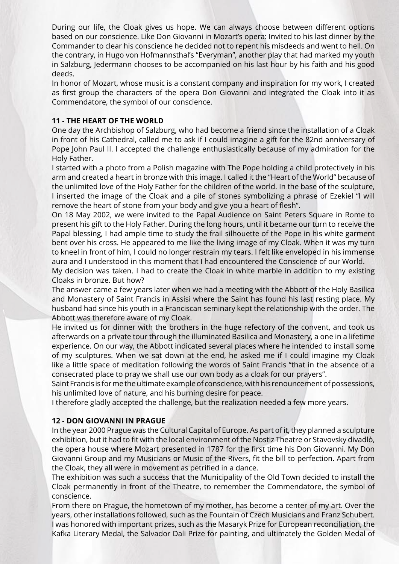During our life, the Cloak gives us hope. We can always choose between different options based on our conscience. Like Don Giovanni in Mozart's opera: Invited to his last dinner by the Commander to clear his conscience he decided not to repent his misdeeds and went to hell. On the contrary, in Hugo von Hofmannsthal's "Everyman", another play that had marked my youth in Salzburg, Jedermann chooses to be accompanied on his last hour by his faith and his good deeds.

In honor of Mozart, whose music is a constant company and inspiration for my work, I created as first group the characters of the opera Don Giovanni and integrated the Cloak into it as Commendatore, the symbol of our conscience.

### **11 - THE HEART OF THE WORLD**

One day the Archbishop of Salzburg, who had become a friend since the installation of a Cloak in front of his Cathedral, called me to ask if I could imagine a gift for the 82nd anniversary of Pope John Paul II. I accepted the challenge enthusiastically because of my admiration for the Holy Father.

I started with a photo from a Polish magazine with The Pope holding a child protectively in his arm and created a heart in bronze with this image. I called it the "Heart of the World" because of the unlimited love of the Holy Father for the children of the world. In the base of the sculpture, I inserted the image of the Cloak and a pile of stones symbolizing a phrase of Ezekiel "I will remove the heart of stone from your body and give you a heart of flesh".

On 18 May 2002, we were invited to the Papal Audience on Saint Peters Square in Rome to present his gift to the Holy Father. During the long hours, until it became our turn to receive the Papal blessing, I had ample time to study the frail silhouette of the Pope in his white garment bent over his cross. He appeared to me like the living image of my Cloak. When it was my turn to kneel in front of him, I could no longer restrain my tears. I felt like enveloped in his immense aura and I understood in this moment that I had encountered the Conscience of our World.

My decision was taken. I had to create the Cloak in white marble in addition to my existing Cloaks in bronze. But how?

The answer came a few years later when we had a meeting with the Abbott of the Holy Basilica and Monastery of Saint Francis in Assisi where the Saint has found his last resting place. My husband had since his youth in a Franciscan seminary kept the relationship with the order. The Abbott was therefore aware of my Cloak.

He invited us for dinner with the brothers in the huge refectory of the convent, and took us afterwards on a private tour through the illuminated Basilica and Monastery, a one in a lifetime experience. On our way, the Abbott indicated several places where he intended to install some of my sculptures. When we sat down at the end, he asked me if I could imagine my Cloak like a little space of meditation following the words of Saint Francis "that in the absence of a consecrated place to pray we shall use our own body as a cloak for our prayers".

Saint Francis is for me the ultimate example of conscience, with his renouncement of possessions, his unlimited love of nature, and his burning desire for peace.

I therefore gladly accepted the challenge, but the realization needed a few more years.

#### **12 - DON GIOVANNI IN PRAGUE**

In the year 2000 Prague was the Cultural Capital of Europe. As part of it, they planned a sculpture exhibition, but it had to fit with the local environment of the Nostiz Theatre or Stavovsky divadlò, the opera house where Mozart presented in 1787 for the first time his Don Giovanni. My Don Giovanni Group and my Musicians or Music of the Rivers, fit the bill to perfection. Apart from the Cloak, they all were in movement as petrified in a dance.

The exhibition was such a success that the Municipality of the Old Town decided to install the Cloak permanently in front of the Theatre, to remember the Commendatore, the symbol of conscience.

From there on Prague, the hometown of my mother, has become a center of my art. Over the years, other installations followed, such as the Fountain of Czech Musicians and Franz Schubert. I was honored with important prizes, such as the Masaryk Prize for European reconciliation, the Kafka Literary Medal, the Salvador Dali Prize for painting, and ultimately the Golden Medal of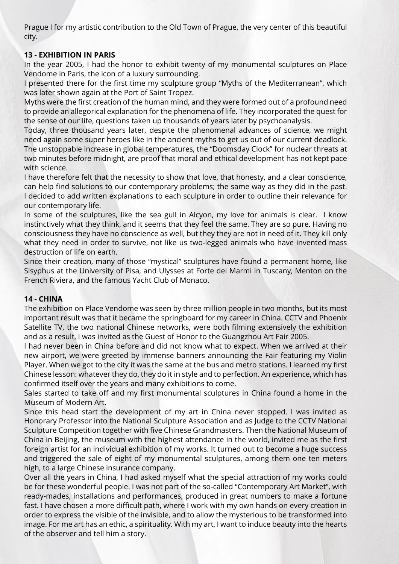Prague I for my artistic contribution to the Old Town of Prague, the very center of this beautiful city.

# **13 - EXHIBITION IN PARIS**

In the year 2005, I had the honor to exhibit twenty of my monumental sculptures on Place Vendome in Paris, the icon of a luxury surrounding.

I presented there for the first time my sculpture group "Myths of the Mediterranean", which was later shown again at the Port of Saint Tropez.

Myths were the first creation of the human mind, and they were formed out of a profound need to provide an allegorical explanation for the phenomena of life. They incorporated the quest for the sense of our life, questions taken up thousands of years later by psychoanalysis.

Today, three thousand years later, despite the phenomenal advances of science, we might need again some super heroes like in the ancient myths to get us out of our current deadlock. The unstoppable increase in global temperatures, the "Doomsday Clock" for nuclear threats at two minutes before midnight, are proof that moral and ethical development has not kept pace with science.

I have therefore felt that the necessity to show that love, that honesty, and a clear conscience, can help find solutions to our contemporary problems; the same way as they did in the past. I decided to add written explanations to each sculpture in order to outline their relevance for our contemporary life.

In some of the sculptures, like the sea gull in Alcyon, my love for animals is clear. I know instinctively what they think, and it seems that they feel the same. They are so pure. Having no consciousness they have no conscience as well, but they they are not in need of it. They kill only what they need in order to survive, not like us two-legged animals who have invented mass destruction of life on earth.

Since their creation, many of those "mystical" sculptures have found a permanent home, like Sisyphus at the University of Pisa, and Ulysses at Forte dei Marmi in Tuscany, Menton on the French Riviera, and the famous Yacht Club of Monaco.

#### **14 - CHINA**

The exhibition on Place Vendome was seen by three million people in two months, but its most important result was that it became the springboard for my career in China. CCTV and Phoenix Satellite TV, the two national Chinese networks, were both filming extensively the exhibition and as a result, I was invited as the Guest of Honor to the Guangzhou Art Fair 2005.

I had never been in China before and did not know what to expect. When we arrived at their new airport, we were greeted by immense banners announcing the Fair featuring my Violin Player. When we got to the city it was the same at the bus and metro stations. I learned my first Chinese lesson: whatever they do, they do it in style and to perfection. An experience, which has confirmed itself over the years and many exhibitions to come.

Sales started to take off and my first monumental sculptures in China found a home in the Museum of Modern Art.

Since this head start the development of my art in China never stopped. I was invited as Honorary Professor into the National Sculpture Association and as Judge to the CCTV National Sculpture Competition together with five Chinese Grandmasters. Then the National Museum of China in Beijing, the museum with the highest attendance in the world, invited me as the first foreign artist for an individual exhibition of my works. It turned out to become a huge success and triggered the sale of eight of my monumental sculptures, among them one ten meters high, to a large Chinese insurance company.

Over all the years in China, I had asked myself what the special attraction of my works could be for these wonderful people. I was not part of the so-called "Contemporary Art Market", with ready-mades, installations and performances, produced in great numbers to make a fortune fast. I have chosen a more difficult path, where I work with my own hands on every creation in order to express the visible of the invisible, and to allow the mysterious to be transformed into image. For me art has an ethic, a spirituality. With my art, I want to induce beauty into the hearts of the observer and tell him a story.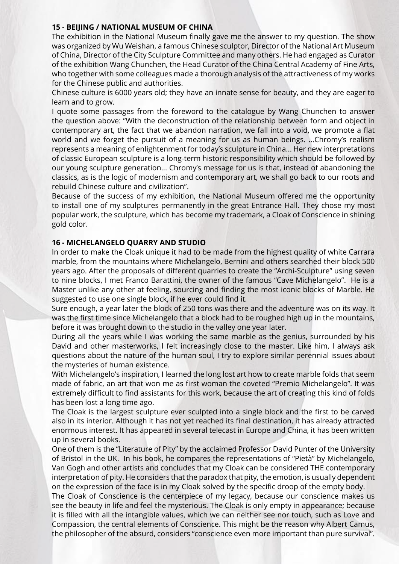### **15 - BEIJING / NATIONAL MUSEUM OF CHINA**

The exhibition in the National Museum finally gave me the answer to my question. The show was organized by Wu Weishan, a famous Chinese sculptor, Director of the National Art Museum of China, Director of the City Sculpture Committee and many others. He had engaged as Curator of the exhibition Wang Chunchen, the Head Curator of the China Central Academy of Fine Arts, who together with some colleagues made a thorough analysis of the attractiveness of my works for the Chinese public and authorities.

Chinese culture is 6000 years old; they have an innate sense for beauty, and they are eager to learn and to grow.

I quote some passages from the foreword to the catalogue by Wang Chunchen to answer the question above: "With the deconstruction of the relationship between form and object in contemporary art, the fact that we abandon narration, we fall into a void, we promote a flat world and we forget the pursuit of a meaning for us as human beings. ...Chromy's realism represents a meaning of enlightenment for today's sculpture in China... Her new interpretations of classic European sculpture is a long-term historic responsibility which should be followed by our young sculpture generation... Chromy's message for us is that, instead of abandoning the classics, as is the logic of modernism and contemporary art, we shall go back to our roots and rebuild Chinese culture and civilization".

Because of the success of my exhibition, the National Museum offered me the opportunity to install one of my sculptures permanently in the great Entrance Hall. They chose my most popular work, the sculpture, which has become my trademark, a Cloak of Conscience in shining gold color.

#### **16 - MICHELANGELO QUARRY AND STUDIO**

In order to make the Cloak unique it had to be made from the highest quality of white Carrara marble, from the mountains where Michelangelo, Bernini and others searched their block 500 years ago. After the proposals of different quarries to create the "Archi-Sculpture" using seven to nine blocks, I met Franco Barattini, the owner of the famous "Cave Michelangelo". He is a Master unlike any other at feeling, sourcing and finding the most iconic blocks of Marble. He suggested to use one single block, if he ever could find it.

Sure enough, a year later the block of 250 tons was there and the adventure was on its way. It was the first time since Michelangelo that a block had to be roughed high up in the mountains, before it was brought down to the studio in the valley one year later.

During all the years while I was working the same marble as the genius, surrounded by his David and other masterworks, I felt increasingly close to the master. Like him, I always ask questions about the nature of the human soul, I try to explore similar perennial issues about the mysteries of human existence.

With Michelangelo's inspiration, I learned the long lost art how to create marble folds that seem made of fabric, an art that won me as first woman the coveted "Premio Michelangelo". It was extremely difficult to find assistants for this work, because the art of creating this kind of folds has been lost a long time ago.

The Cloak is the largest sculpture ever sculpted into a single block and the first to be carved also in its interior. Although it has not yet reached its final destination, it has already attracted enormous interest. It has appeared in several telecast in Europe and China, it has been written up in several books.

One of them is the "Literature of Pity" by the acclaimed Professor David Punter of the University of Bristol in the UK. In his book, he compares the representations of "Pietà" by Michelangelo, Van Gogh and other artists and concludes that my Cloak can be considered THE contemporary interpretation of pity. He considers that the paradox that pity, the emotion, is usually dependent on the expression of the face is in my Cloak solved by the specific droop of the empty body.

The Cloak of Conscience is the centerpiece of my legacy, because our conscience makes us see the beauty in life and feel the mysterious. The Cloak is only empty in appearance; because it is filled with all the intangible values, which we can neither see nor touch, such as Love and Compassion, the central elements of Conscience. This might be the reason why Albert Camus, the philosopher of the absurd, considers "conscience even more important than pure survival".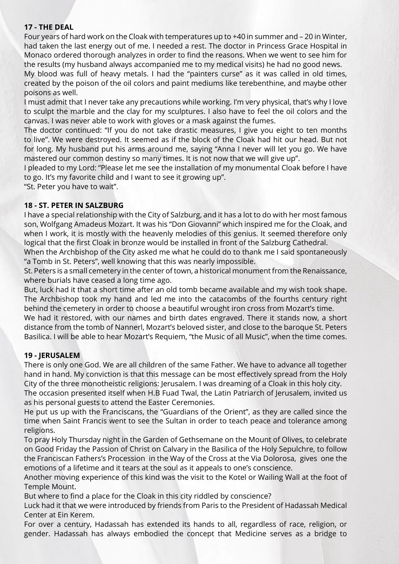# **17 - THE DEAL**

Four years of hard work on the Cloak with temperatures up to +40 in summer and – 20 in Winter, had taken the last energy out of me. I needed a rest. The doctor in Princess Grace Hospital in Monaco ordered thorough analyzes in order to find the reasons. When we went to see him for the results (my husband always accompanied me to my medical visits) he had no good news. My blood was full of heavy metals. I had the "painters curse" as it was called in old times,

created by the poison of the oil colors and paint mediums like terebenthine, and maybe other poisons as well.

I must admit that I never take any precautions while working. I'm very physical, that's why I love to sculpt the marble and the clay for my sculptures. I also have to feel the oil colors and the canvas. I was never able to work with gloves or a mask against the fumes.

The doctor continued: "If you do not take drastic measures, I give you eight to ten months to live". We were destroyed. It seemed as if the block of the Cloak had hit our head. But not for long. My husband put his arms around me, saying "Anna I never will let you go. We have mastered our common destiny so many times. It is not now that we will give up".

I pleaded to my Lord: "Please let me see the installation of my monumental Cloak before I have to go. It's my favorite child and I want to see it growing up".

"St. Peter you have to wait".

#### **18 - ST. PETER IN SALZBURG**

I have a special relationship with the City of Salzburg, and it has a lot to do with her most famous son, Wolfgang Amadeus Mozart. It was his "Don Giovanni" which inspired me for the Cloak, and when I work, it is mostly with the heavenly melodies of this genius. It seemed therefore only logical that the first Cloak in bronze would be installed in front of the Salzburg Cathedral.

When the Archbishop of the City asked me what he could do to thank me I said spontaneously "a Tomb in St. Peters", well knowing that this was nearly impossible.

St. Peters is a small cemetery in the center of town, a historical monument from the Renaissance, where burials have ceased a long time ago.

But, luck had it that a short time after an old tomb became available and my wish took shape. The Archbishop took my hand and led me into the catacombs of the fourths century right behind the cemetery in order to choose a beautiful wrought iron cross from Mozart's time.

We had it restored, with our names and birth dates engraved. There it stands now, a short distance from the tomb of Nannerl, Mozart's beloved sister, and close to the baroque St. Peters Basilica. I will be able to hear Mozart's Requiem, "the Music of all Music", when the time comes.

### **19 - JERUSALEM**

There is only one God. We are all children of the same Father. We have to advance all together hand in hand. My conviction is that this message can be most effectively spread from the Holy City of the three monotheistic religions: Jerusalem. I was dreaming of a Cloak in this holy city.

The occasion presented itself when H.B Fuad Twal, the Latin Patriarch of Jerusalem, invited us as his personal guests to attend the Easter Ceremonies.

He put us up with the Franciscans, the "Guardians of the Orient", as they are called since the time when Saint Francis went to see the Sultan in order to teach peace and tolerance among religions.

To pray Holy Thursday night in the Garden of Gethsemane on the Mount of Olives, to celebrate on Good Friday the Passion of Christ on Calvary in the Basilica of the Holy Sepulchre, to follow the Franciscan Fathers's Procession in the Way of the Cross at the Via Dolorosa, gives one the emotions of a lifetime and it tears at the soul as it appeals to one's conscience.

Another moving experience of this kind was the visit to the Kotel or Wailing Wall at the foot of Temple Mount.

But where to find a place for the Cloak in this city riddled by conscience?

Luck had it that we were introduced by friends from Paris to the President of Hadassah Medical Center at Ein Kerem.

For over a century, Hadassah has extended its hands to all, regardless of race, religion, or gender. Hadassah has always embodied the concept that Medicine serves as a bridge to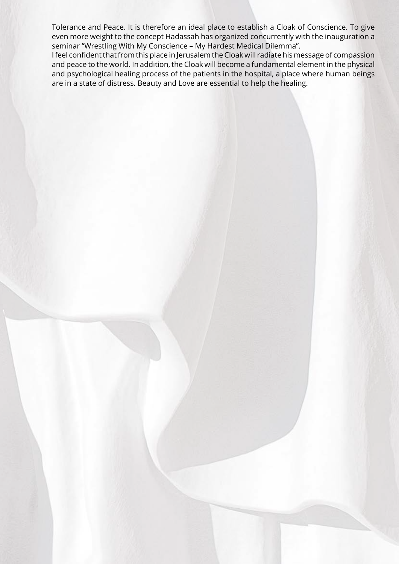Tolerance and Peace. It is therefore an ideal place to establish a Cloak of Conscience. To give even more weight to the concept Hadassah has organized concurrently with the inauguration a seminar "Wrestling With My Conscience – My Hardest Medical Dilemma".

I feel confident that from this place in Jerusalem the Cloak will radiate his message of compassion and peace to the world. In addition, the Cloak will become a fundamental element in the physical and psychological healing process of the patients in the hospital, a place where human beings are in a state of distress. Beauty and Love are essential to help the healing.